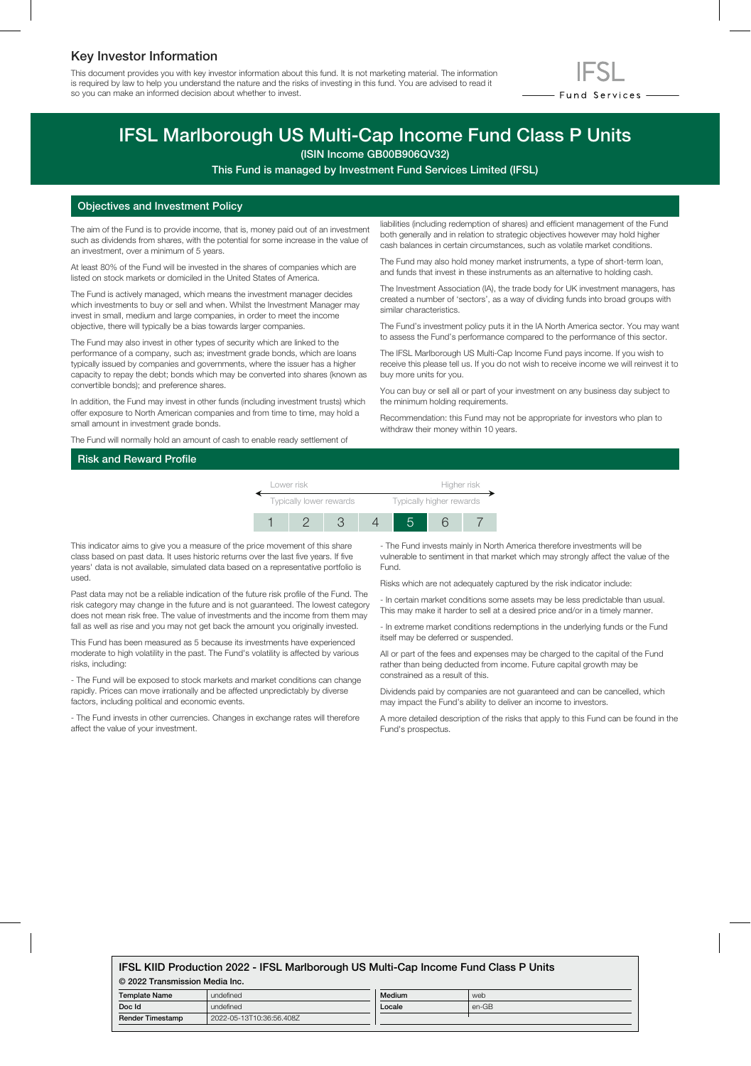# Key Investor Information

This document provides you with key investor information about this fund. It is not marketing material. The information is required by law to help you understand the nature and the risks of investing in this fund. You are advised to read it so you can make an informed decision about whether to invest.



# IFSL Marlborough US Multi-Cap Income Fund Class P Units

(ISIN Income GB00B906QV32)

This Fund is managed by Investment Fund Services Limited (IFSL)

# Objectives and Investment Policy

The aim of the Fund is to provide income, that is, money paid out of an investment such as dividends from shares, with the potential for some increase in the value of an investment, over a minimum of 5 years.

At least 80% of the Fund will be invested in the shares of companies which are listed on stock markets or domiciled in the United States of America.

The Fund is actively managed, which means the investment manager decides which investments to buy or sell and when. Whilst the Investment Manager may invest in small, medium and large companies, in order to meet the income objective, there will typically be a bias towards larger companies.

The Fund may also invest in other types of security which are linked to the performance of a company, such as; investment grade bonds, which are loans typically issued by companies and governments, where the issuer has a higher capacity to repay the debt; bonds which may be converted into shares (known as convertible bonds); and preference shares.

In addition, the Fund may invest in other funds (including investment trusts) which offer exposure to North American companies and from time to time, may hold a small amount in investment grade bonds.

The Fund will normally hold an amount of cash to enable ready settlement of

liabilities (including redemption of shares) and efficient management of the Fund both generally and in relation to strategic objectives however may hold higher cash balances in certain circumstances, such as volatile market conditions.

The Fund may also hold money market instruments, a type of short-term loan, and funds that invest in these instruments as an alternative to holding cash.

The Investment Association (IA), the trade body for UK investment managers, has created a number of 'sectors', as a way of dividing funds into broad groups with similar characteristics.

The Fund's investment policy puts it in the IA North America sector. You may want to assess the Fund's performance compared to the performance of this sector.

The IFSL Marlborough US Multi-Cap Income Fund pays income. If you wish to receive this please tell us. If you do not wish to receive income we will reinvest it to buy more units for you.

You can buy or sell all or part of your investment on any business day subject to the minimum holding requirements.

Recommendation: this Fund may not be appropriate for investors who plan to withdraw their money within 10 years.

# Risk and Reward Profile



This indicator aims to give you a measure of the price movement of this share class based on past data. It uses historic returns over the last five years. If five years' data is not available, simulated data based on a representative portfolio is used.

Past data may not be a reliable indication of the future risk profile of the Fund. The risk category may change in the future and is not guaranteed. The lowest category does not mean risk free. The value of investments and the income from them may fall as well as rise and you may not get back the amount you originally invested.

This Fund has been measured as 5 because its investments have experienced moderate to high volatility in the past. The Fund's volatility is affected by various risks, including:

- The Fund will be exposed to stock markets and market conditions can change rapidly. Prices can move irrationally and be affected unpredictably by diverse factors, including political and economic events.

- The Fund invests in other currencies. Changes in exchange rates will therefore affect the value of your investment.

- The Fund invests mainly in North America therefore investments will be vulnerable to sentiment in that market which may strongly affect the value of the Fund.

Risks which are not adequately captured by the risk indicator include:

- In certain market conditions some assets may be less predictable than usual. This may make it harder to sell at a desired price and/or in a timely manner.

- In extreme market conditions redemptions in the underlying funds or the Fund itself may be deferred or suspended.

All or part of the fees and expenses may be charged to the capital of the Fund rather than being deducted from income. Future capital growth may be constrained as a result of this.

Dividends paid by companies are not guaranteed and can be cancelled, which may impact the Fund's ability to deliver an income to investors.

A more detailed description of the risks that apply to this Fund can be found in the Fund's prospectus.